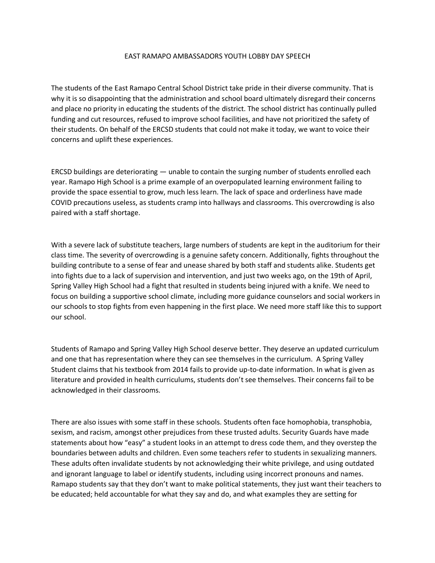## EAST RAMAPO AMBASSADORS YOUTH LOBBY DAY SPEECH

The students of the East Ramapo Central School District take pride in their diverse community. That is why it is so disappointing that the administration and school board ultimately disregard their concerns and place no priority in educating the students of the district. The school district has continually pulled funding and cut resources, refused to improve school facilities, and have not prioritized the safety of their students. On behalf of the ERCSD students that could not make it today, we want to voice their concerns and uplift these experiences.

ERCSD buildings are deteriorating — unable to contain the surging number of students enrolled each year. Ramapo High School is a prime example of an overpopulated learning environment failing to provide the space essential to grow, much less learn. The lack of space and orderliness have made COVID precautions useless, as students cramp into hallways and classrooms. This overcrowding is also paired with a staff shortage.

With a severe lack of substitute teachers, large numbers of students are kept in the auditorium for their class time. The severity of overcrowding is a genuine safety concern. Additionally, fights throughout the building contribute to a sense of fear and unease shared by both staff and students alike. Students get into fights due to a lack of supervision and intervention, and just two weeks ago, on the 19th of April, Spring Valley High School had a fight that resulted in students being injured with a knife. We need to focus on building a supportive school climate, including more guidance counselors and social workers in our schools to stop fights from even happening in the first place. We need more staff like this to support our school.

Students of Ramapo and Spring Valley High School deserve better. They deserve an updated curriculum and one that has representation where they can see themselves in the curriculum. A Spring Valley Student claims that his textbook from 2014 fails to provide up-to-date information. In what is given as literature and provided in health curriculums, students don't see themselves. Their concerns fail to be acknowledged in their classrooms.

There are also issues with some staff in these schools. Students often face homophobia, transphobia, sexism, and racism, amongst other prejudices from these trusted adults. Security Guards have made statements about how "easy" a student looks in an attempt to dress code them, and they overstep the boundaries between adults and children. Even some teachers refer to students in sexualizing manners. These adults often invalidate students by not acknowledging their white privilege, and using outdated and ignorant language to label or identify students, including using incorrect pronouns and names. Ramapo students say that they don't want to make political statements, they just want their teachers to be educated; held accountable for what they say and do, and what examples they are setting for